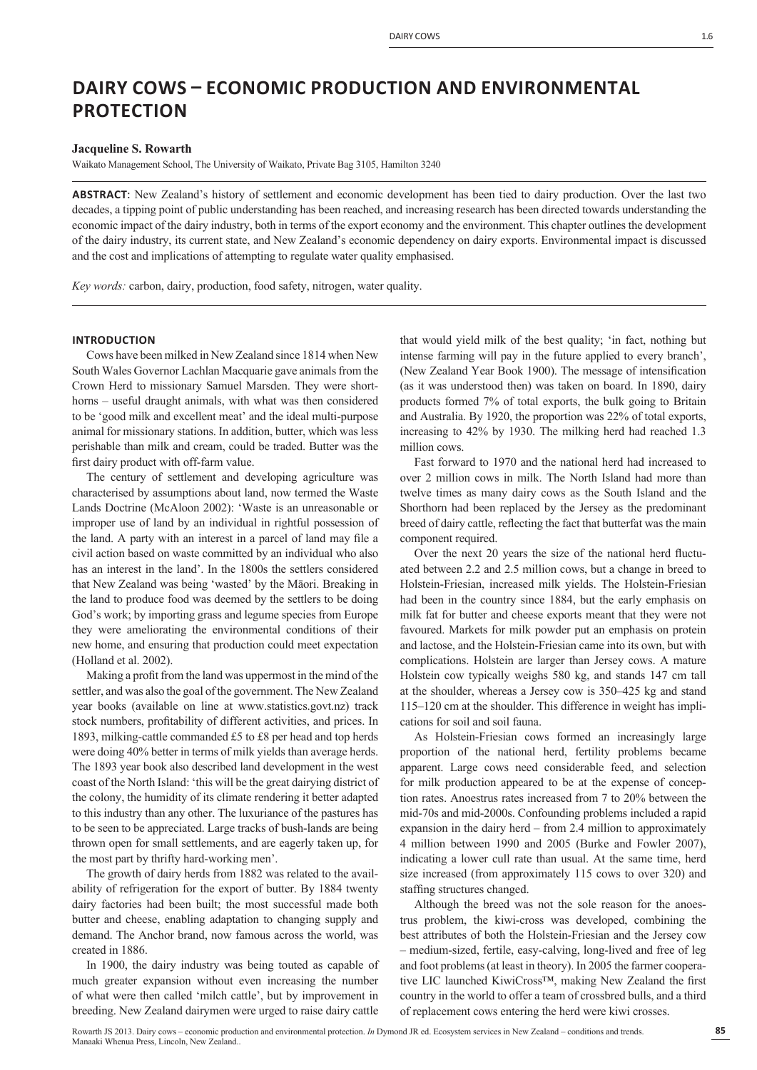# **DAIRY COWS ͵ ECONOMIC PRODUCTION AND ENVIRONMENTAL PROTECTION**

## **Jacqueline S. Rowarth**

Waikato Management School, The University of Waikato, Private Bag 3105, Hamilton 3240

**ABSTRACT**: New Zealand's history of settlement and economic development has been tied to dairy production. Over the last two decades, a tipping point of public understanding has been reached, and increasing research has been directed towards understanding the economic impact of the dairy industry, both in terms of the export economy and the environment. This chapter outlines the development of the dairy industry, its current state, and New Zealand's economic dependency on dairy exports. Environmental impact is discussed and the cost and implications of attempting to regulate water quality emphasised.

*Key words:* carbon, dairy, production, food safety, nitrogen, water quality.

# **INTRODUCTION**

Cows have been milked in New Zealand since 1814 when New South Wales Governor Lachlan Macquarie gave animals from the Crown Herd to missionary Samuel Marsden. They were shorthorns – useful draught animals, with what was then considered to be 'good milk and excellent meat' and the ideal multi-purpose animal for missionary stations. In addition, butter, which was less perishable than milk and cream, could be traded. Butter was the first dairy product with off-farm value.

The century of settlement and developing agriculture was characterised by assumptions about land, now termed the Waste Lands Doctrine (McAloon 2002): 'Waste is an unreasonable or improper use of land by an individual in rightful possession of the land. A party with an interest in a parcel of land may file a civil action based on waste committed by an individual who also has an interest in the land'. In the 1800s the settlers considered that New Zealand was being 'wasted' by the Māori. Breaking in the land to produce food was deemed by the settlers to be doing God's work; by importing grass and legume species from Europe they were ameliorating the environmental conditions of their new home, and ensuring that production could meet expectation (Holland et al. 2002).

Making a profit from the land was uppermost in the mind of the settler, and was also the goal of the government. The New Zealand year books (available on line at www.statistics.govt.nz) track stock numbers, profitability of different activities, and prices. In 1893, milking-cattle commanded £5 to £8 per head and top herds were doing 40% better in terms of milk yields than average herds. The 1893 year book also described land development in the west coast of the North Island: 'this will be the great dairying district of the colony, the humidity of its climate rendering it better adapted to this industry than any other. The luxuriance of the pastures has to be seen to be appreciated. Large tracks of bush-lands are being thrown open for small settlements, and are eagerly taken up, for the most part by thrifty hard-working men'.

The growth of dairy herds from 1882 was related to the availability of refrigeration for the export of butter. By 1884 twenty dairy factories had been built; the most successful made both butter and cheese, enabling adaptation to changing supply and demand. The Anchor brand, now famous across the world, was created in 1886.

In 1900, the dairy industry was being touted as capable of much greater expansion without even increasing the number of what were then called 'milch cattle', but by improvement in breeding. New Zealand dairymen were urged to raise dairy cattle

that would yield milk of the best quality; 'in fact, nothing but intense farming will pay in the future applied to every branch', (New Zealand Year Book 1900). The message of intensification (as it was understood then) was taken on board. In 1890, dairy products formed 7% of total exports, the bulk going to Britain and Australia. By 1920, the proportion was 22% of total exports, increasing to 42% by 1930. The milking herd had reached 1.3 million cows.

Fast forward to 1970 and the national herd had increased to over 2 million cows in milk. The North Island had more than twelve times as many dairy cows as the South Island and the Shorthorn had been replaced by the Jersey as the predominant breed of dairy cattle, reflecting the fact that butterfat was the main component required.

Over the next  $20$  years the size of the national herd fluctuated between 2.2 and 2.5 million cows, but a change in breed to Holstein-Friesian, increased milk yields. The Holstein-Friesian had been in the country since 1884, but the early emphasis on milk fat for butter and cheese exports meant that they were not favoured. Markets for milk powder put an emphasis on protein and lactose, and the Holstein-Friesian came into its own, but with complications. Holstein are larger than Jersey cows. A mature Holstein cow typically weighs 580 kg, and stands 147 cm tall at the shoulder, whereas a Jersey cow is 350–425 kg and stand 115–120 cm at the shoulder. This difference in weight has implications for soil and soil fauna.

As Holstein-Friesian cows formed an increasingly large proportion of the national herd, fertility problems became apparent. Large cows need considerable feed, and selection for milk production appeared to be at the expense of conception rates. Anoestrus rates increased from 7 to 20% between the mid-70s and mid-2000s. Confounding problems included a rapid expansion in the dairy herd – from 2.4 million to approximately 4 million between 1990 and 2005 (Burke and Fowler 2007), indicating a lower cull rate than usual. At the same time, herd size increased (from approximately 115 cows to over 320) and staffing structures changed.

Although the breed was not the sole reason for the anoestrus problem, the kiwi-cross was developed, combining the best attributes of both the Holstein-Friesian and the Jersey cow – medium-sized, fertile, easy-calving, long-lived and free of leg and foot problems (at least in theory). In 2005 the farmer cooperative LIC launched KiwiCross™, making New Zealand the first country in the world to offer a team of crossbred bulls, and a third of replacement cows entering the herd were kiwi crosses.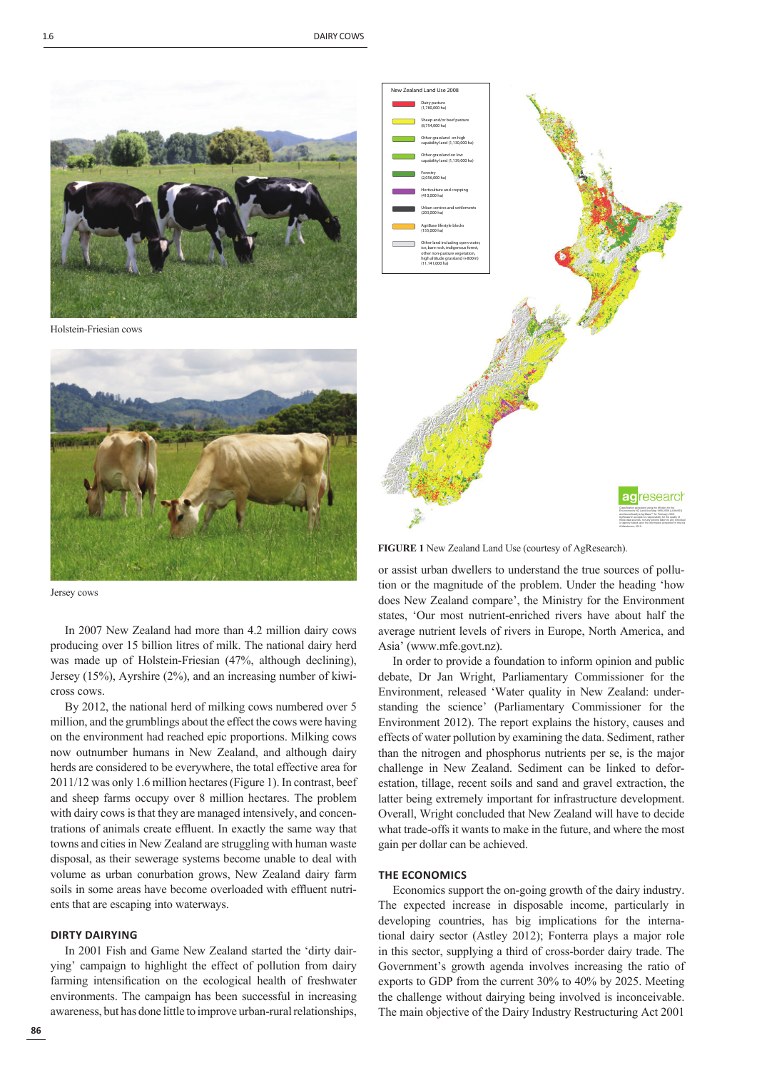

Holstein-Friesian cows



Jersey cows

In 2007 New Zealand had more than 4.2 million dairy cows producing over 15 billion litres of milk. The national dairy herd was made up of Holstein-Friesian (47%, although declining), Jersey (15%), Ayrshire (2%), and an increasing number of kiwicross cows.

By 2012, the national herd of milking cows numbered over 5 million, and the grumblings about the effect the cows were having on the environment had reached epic proportions. Milking cows now outnumber humans in New Zealand, and although dairy herds are considered to be everywhere, the total effective area for 2011/12 was only 1.6 million hectares (Figure 1). In contrast, beef and sheep farms occupy over 8 million hectares. The problem with dairy cows is that they are managed intensively, and concentrations of animals create effluent. In exactly the same way that towns and cities in New Zealand are struggling with human waste disposal, as their sewerage systems become unable to deal with volume as urban conurbation grows, New Zealand dairy farm soils in some areas have become overloaded with effluent nutrients that are escaping into waterways.

## **DIRTY DAIRYING**

In 2001 Fish and Game New Zealand started the 'dirty dairying' campaign to highlight the effect of pollution from dairy farming intensification on the ecological health of freshwater environments. The campaign has been successful in increasing awareness, but has done little to improve urban-rural relationships,



**FIGURE 1** New Zealand Land Use (courtesy of AgResearch).

or assist urban dwellers to understand the true sources of pollution or the magnitude of the problem. Under the heading 'how does New Zealand compare', the Ministry for the Environment states, 'Our most nutrient-enriched rivers have about half the average nutrient levels of rivers in Europe, North America, and Asia' (www.mfe.govt.nz).

In order to provide a foundation to inform opinion and public debate, Dr Jan Wright, Parliamentary Commissioner for the Environment, released 'Water quality in New Zealand: understanding the science' (Parliamentary Commissioner for the Environment 2012). The report explains the history, causes and effects of water pollution by examining the data. Sediment, rather than the nitrogen and phosphorus nutrients per se, is the major challenge in New Zealand. Sediment can be linked to deforestation, tillage, recent soils and sand and gravel extraction, the latter being extremely important for infrastructure development. Overall, Wright concluded that New Zealand will have to decide what trade-offs it wants to make in the future, and where the most gain per dollar can be achieved.

# **THE ECONOMICS**

Economics support the on-going growth of the dairy industry. The expected increase in disposable income, particularly in developing countries, has big implications for the international dairy sector (Astley 2012); Fonterra plays a major role in this sector, supplying a third of cross-border dairy trade. The Government's growth agenda involves increasing the ratio of exports to GDP from the current 30% to 40% by 2025. Meeting the challenge without dairying being involved is inconceivable. The main objective of the Dairy Industry Restructuring Act 2001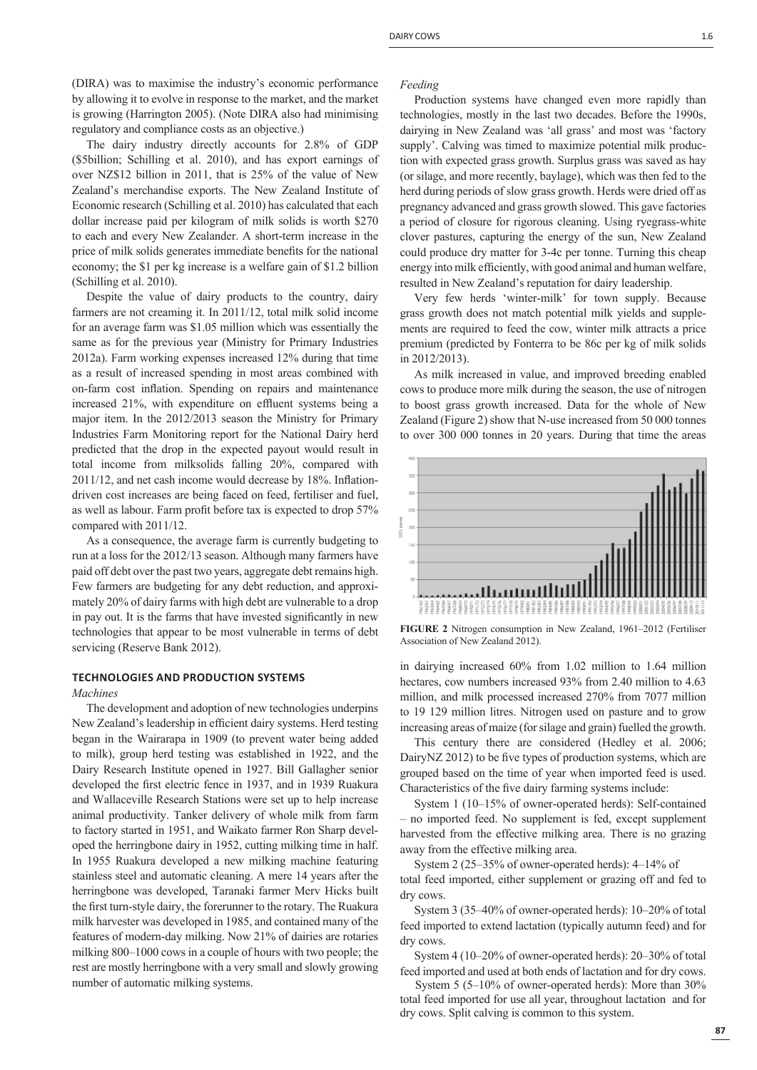(DIRA) was to maximise the industry's economic performance by allowing it to evolve in response to the market, and the market is growing (Harrington 2005). (Note DIRA also had minimising regulatory and compliance costs as an objective.)

The dairy industry directly accounts for 2.8% of GDP (\$5billion; Schilling et al. 2010), and has export earnings of over NZ\$12 billion in 2011, that is 25% of the value of New Zealand's merchandise exports. The New Zealand Institute of Economic research (Schilling et al. 2010) has calculated that each dollar increase paid per kilogram of milk solids is worth \$270 to each and every New Zealander. A short-term increase in the price of milk solids generates immediate benefits for the national economy; the \$1 per kg increase is a welfare gain of \$1.2 billion (Schilling et al. 2010).

Despite the value of dairy products to the country, dairy farmers are not creaming it. In 2011/12, total milk solid income for an average farm was \$1.05 million which was essentially the same as for the previous year (Ministry for Primary Industries 2012a). Farm working expenses increased 12% during that time as a result of increased spending in most areas combined with on-farm cost inflation. Spending on repairs and maintenance increased 21%, with expenditure on effluent systems being a major item. In the 2012/2013 season the Ministry for Primary Industries Farm Monitoring report for the National Dairy herd predicted that the drop in the expected payout would result in total income from milksolids falling 20%, compared with  $2011/12$ , and net cash income would decrease by 18%. Inflationdriven cost increases are being faced on feed, fertiliser and fuel, as well as labour. Farm profit before tax is expected to drop 57% compared with 2011/12.

As a consequence, the average farm is currently budgeting to run at a loss for the 2012/13 season. Although many farmers have paid off debt over the past two years, aggregate debt remains high. Few farmers are budgeting for any debt reduction, and approximately 20% of dairy farms with high debt are vulnerable to a drop in pay out. It is the farms that have invested significantly in new technologies that appear to be most vulnerable in terms of debt servicing (Reserve Bank 2012).

#### **TECHNOLOGIES AND PRODUCTION SYSTEMS**

*Machines*

The development and adoption of new technologies underpins New Zealand's leadership in efficient dairy systems. Herd testing began in the Wairarapa in 1909 (to prevent water being added to milk), group herd testing was established in 1922, and the Dairy Research Institute opened in 1927. Bill Gallagher senior developed the first electric fence in 1937, and in 1939 Ruakura and Wallaceville Research Stations were set up to help increase animal productivity. Tanker delivery of whole milk from farm to factory started in 1951, and Waikato farmer Ron Sharp developed the herringbone dairy in 1952, cutting milking time in half. In 1955 Ruakura developed a new milking machine featuring stainless steel and automatic cleaning. A mere 14 years after the herringbone was developed, Taranaki farmer Merv Hicks built the first turn-style dairy, the forerunner to the rotary. The Ruakura milk harvester was developed in 1985, and contained many of the features of modern-day milking. Now 21% of dairies are rotaries milking 800–1000 cows in a couple of hours with two people; the rest are mostly herringbone with a very small and slowly growing number of automatic milking systems.

#### *Feeding*

Production systems have changed even more rapidly than technologies, mostly in the last two decades. Before the 1990s, dairying in New Zealand was 'all grass' and most was 'factory supply'. Calving was timed to maximize potential milk production with expected grass growth. Surplus grass was saved as hay (or silage, and more recently, baylage), which was then fed to the herd during periods of slow grass growth. Herds were dried off as pregnancy advanced and grass growth slowed. This gave factories a period of closure for rigorous cleaning. Using ryegrass-white clover pastures, capturing the energy of the sun, New Zealand could produce dry matter for 3-4c per tonne. Turning this cheap energy into milk efficiently, with good animal and human welfare, resulted in New Zealand's reputation for dairy leadership.

Very few herds 'winter-milk' for town supply. Because grass growth does not match potential milk yields and supplements are required to feed the cow, winter milk attracts a price premium (predicted by Fonterra to be 86c per kg of milk solids in 2012/2013).

As milk increased in value, and improved breeding enabled cows to produce more milk during the season, the use of nitrogen to boost grass growth increased. Data for the whole of New Zealand (Figure 2) show that N-use increased from 50 000 tonnes to over 300 000 tonnes in 20 years. During that time the areas



**FIGURE 2** Nitrogen consumption in New Zealand, 1961–2012 (Fertiliser Association of New Zealand 2012).

in dairying increased 60% from 1.02 million to 1.64 million hectares, cow numbers increased 93% from 2.40 million to 4.63 million, and milk processed increased 270% from 7077 million to 19 129 million litres. Nitrogen used on pasture and to grow increasing areas of maize (for silage and grain) fuelled the growth.

This century there are considered (Hedley et al. 2006; DairyNZ 2012) to be five types of production systems, which are grouped based on the time of year when imported feed is used. Characteristics of the five dairy farming systems include:

System 1 (10–15% of owner-operated herds): Self-contained – no imported feed. No supplement is fed, except supplement harvested from the effective milking area. There is no grazing away from the effective milking area.

System 2 (25–35% of owner-operated herds): 4–14% of total feed imported, either supplement or grazing off and fed to dry cows.

System 3 (35–40% of owner-operated herds): 10–20% of total feed imported to extend lactation (typically autumn feed) and for dry cows.

System 4 (10–20% of owner-operated herds): 20–30% of total feed imported and used at both ends of lactation and for dry cows.

 System 5 (5–10% of owner-operated herds): More than 30% total feed imported for use all year, throughout lactation and for dry cows. Split calving is common to this system.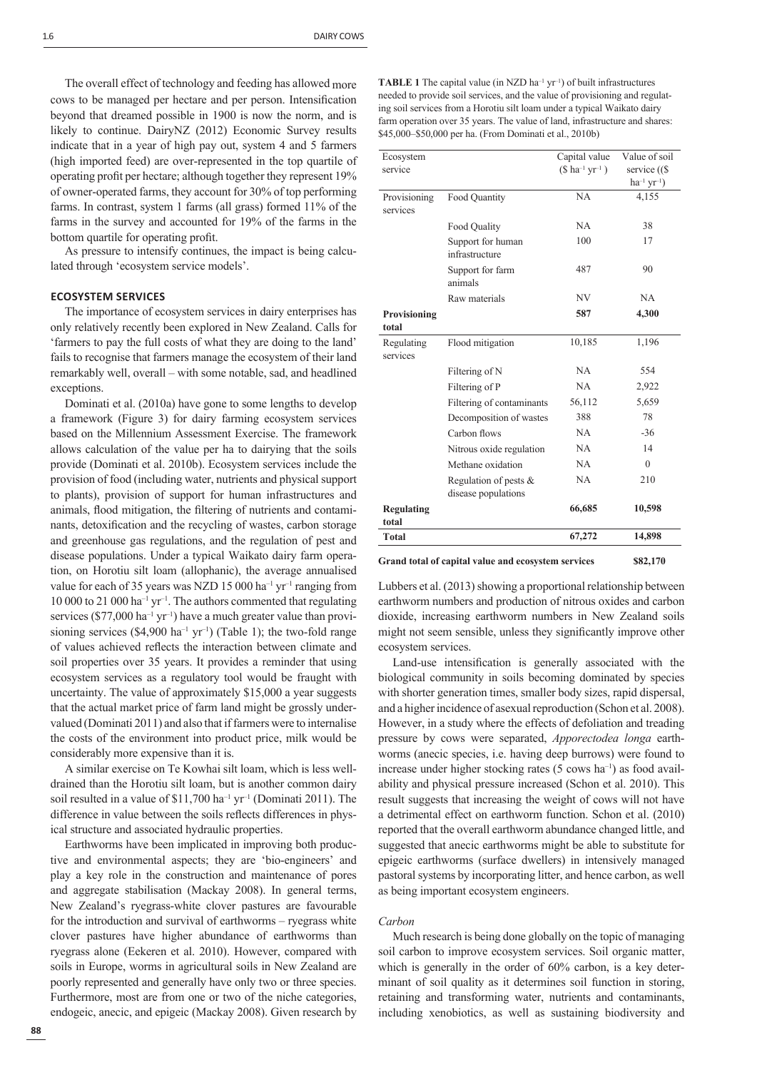The overall effect of technology and feeding has allowed more cows to be managed per hectare and per person. Intensification beyond that dreamed possible in 1900 is now the norm, and is likely to continue. DairyNZ (2012) Economic Survey results indicate that in a year of high pay out, system 4 and 5 farmers (high imported feed) are over-represented in the top quartile of operating profit per hectare; although together they represent 19% of owner-operated farms, they account for 30% of top performing farms. In contrast, system 1 farms (all grass) formed 11% of the farms in the survey and accounted for 19% of the farms in the bottom quartile for operating profit.

As pressure to intensify continues, the impact is being calculated through 'ecosystem service models'.

# **ECOSYSTEM SERVICES**

The importance of ecosystem services in dairy enterprises has only relatively recently been explored in New Zealand. Calls for 'farmers to pay the full costs of what they are doing to the land' fails to recognise that farmers manage the ecosystem of their land remarkably well, overall – with some notable, sad, and headlined exceptions.

Dominati et al. (2010a) have gone to some lengths to develop a framework (Figure 3) for dairy farming ecosystem services based on the Millennium Assessment Exercise. The framework allows calculation of the value per ha to dairying that the soils provide (Dominati et al. 2010b). Ecosystem services include the provision of food (including water, nutrients and physical support to plants), provision of support for human infrastructures and animals, flood mitigation, the filtering of nutrients and contaminants, detoxification and the recycling of wastes, carbon storage and greenhouse gas regulations, and the regulation of pest and disease populations. Under a typical Waikato dairy farm operation, on Horotiu silt loam (allophanic), the average annualised value for each of 35 years was NZD 15 000 ha<sup>-1</sup> yr<sup>-1</sup> ranging from 10 000 to 21 000 ha<sup>-1</sup> yr<sup>-1</sup>. The authors commented that regulating services ( $$77,000$  ha<sup>-1</sup> yr<sup>-1</sup>) have a much greater value than provisioning services (\$4,900 ha<sup>-1</sup> yr<sup>-1</sup>) (Table 1); the two-fold range of values achieved reflects the interaction between climate and soil properties over 35 years. It provides a reminder that using ecosystem services as a regulatory tool would be fraught with uncertainty. The value of approximately \$15,000 a year suggests that the actual market price of farm land might be grossly undervalued (Dominati 2011) and also that if farmers were to internalise the costs of the environment into product price, milk would be considerably more expensive than it is.

A similar exercise on Te Kowhai silt loam, which is less welldrained than the Horotiu silt loam, but is another common dairy soil resulted in a value of  $$11,700$  ha<sup>-1</sup> yr<sup>-1</sup> (Dominati 2011). The difference in value between the soils reflects differences in physical structure and associated hydraulic properties.

Earthworms have been implicated in improving both productive and environmental aspects; they are 'bio-engineers' and play a key role in the construction and maintenance of pores and aggregate stabilisation (Mackay 2008). In general terms, New Zealand's ryegrass-white clover pastures are favourable for the introduction and survival of earthworms – ryegrass white clover pastures have higher abundance of earthworms than ryegrass alone (Eekeren et al. 2010). However, compared with soils in Europe, worms in agricultural soils in New Zealand are poorly represented and generally have only two or three species. Furthermore, most are from one or two of the niche categories, endogeic, anecic, and epigeic (Mackay 2008). Given research by **TABLE 1** The capital value (in NZD ha<sup>-1</sup> yr<sup>-1</sup>) of built infrastructures needed to provide soil services, and the value of provisioning and regulating soil services from a Horotiu silt loam under a typical Waikato dairy farm operation over 35 years. The value of land, infrastructure and shares: \$45,000–\$50,000 per ha. (From Dominati et al., 2010b)

| Ecosystem<br>service       |                                                 | Capital value<br>$($ ha^{-1} yr^{-1})$ | Value of soil<br>service ((\$)<br>$ha^{-1} yr^{-1}$ |
|----------------------------|-------------------------------------------------|----------------------------------------|-----------------------------------------------------|
| Provisioning<br>services   | Food Quantity                                   | NA                                     | 4,155                                               |
|                            | Food Quality                                    | <b>NA</b>                              | 38                                                  |
|                            | Support for human<br>infrastructure             | 100                                    | 17                                                  |
|                            | Support for farm<br>animals                     | 487                                    | 90                                                  |
|                            | Raw materials                                   | NV                                     | NA                                                  |
| Provisioning<br>total      |                                                 | 587                                    | 4,300                                               |
| Regulating<br>services     | Flood mitigation                                | 10,185                                 | 1,196                                               |
|                            | Filtering of N                                  | NA                                     | 554                                                 |
|                            | Filtering of P                                  | <b>NA</b>                              | 2,922                                               |
|                            | Filtering of contaminants                       | 56,112                                 | 5,659                                               |
|                            | Decomposition of wastes                         | 388                                    | 78                                                  |
|                            | Carbon flows                                    | NA                                     | $-36$                                               |
|                            | Nitrous oxide regulation                        | NA                                     | 14                                                  |
|                            | Methane oxidation                               | NA                                     | $\Omega$                                            |
|                            | Regulation of pests $\&$<br>disease populations | NA                                     | 210                                                 |
| <b>Regulating</b><br>total |                                                 | 66,685                                 | 10,598                                              |
| <b>Total</b>               |                                                 | 67,272                                 | 14,898                                              |

**Grand total of capital value and ecosystem services \$82,170**

Lubbers et al. (2013) showing a proportional relationship between earthworm numbers and production of nitrous oxides and carbon dioxide, increasing earthworm numbers in New Zealand soils might not seem sensible, unless they significantly improve other ecosystem services.

Land-use intensification is generally associated with the biological community in soils becoming dominated by species with shorter generation times, smaller body sizes, rapid dispersal, and a higher incidence of asexual reproduction (Schon et al. 2008). However, in a study where the effects of defoliation and treading pressure by cows were separated, *Apporectodea longa* earthworms (anecic species, i.e. having deep burrows) were found to increase under higher stocking rates  $(5 \text{ cows ha}^{-1})$  as food availability and physical pressure increased (Schon et al. 2010). This result suggests that increasing the weight of cows will not have a detrimental effect on earthworm function. Schon et al. (2010) reported that the overall earthworm abundance changed little, and suggested that anecic earthworms might be able to substitute for epigeic earthworms (surface dwellers) in intensively managed pastoral systems by incorporating litter, and hence carbon, as well as being important ecosystem engineers.

#### *Carbon*

Much research is being done globally on the topic of managing soil carbon to improve ecosystem services. Soil organic matter, which is generally in the order of 60% carbon, is a key determinant of soil quality as it determines soil function in storing, retaining and transforming water, nutrients and contaminants, including xenobiotics, as well as sustaining biodiversity and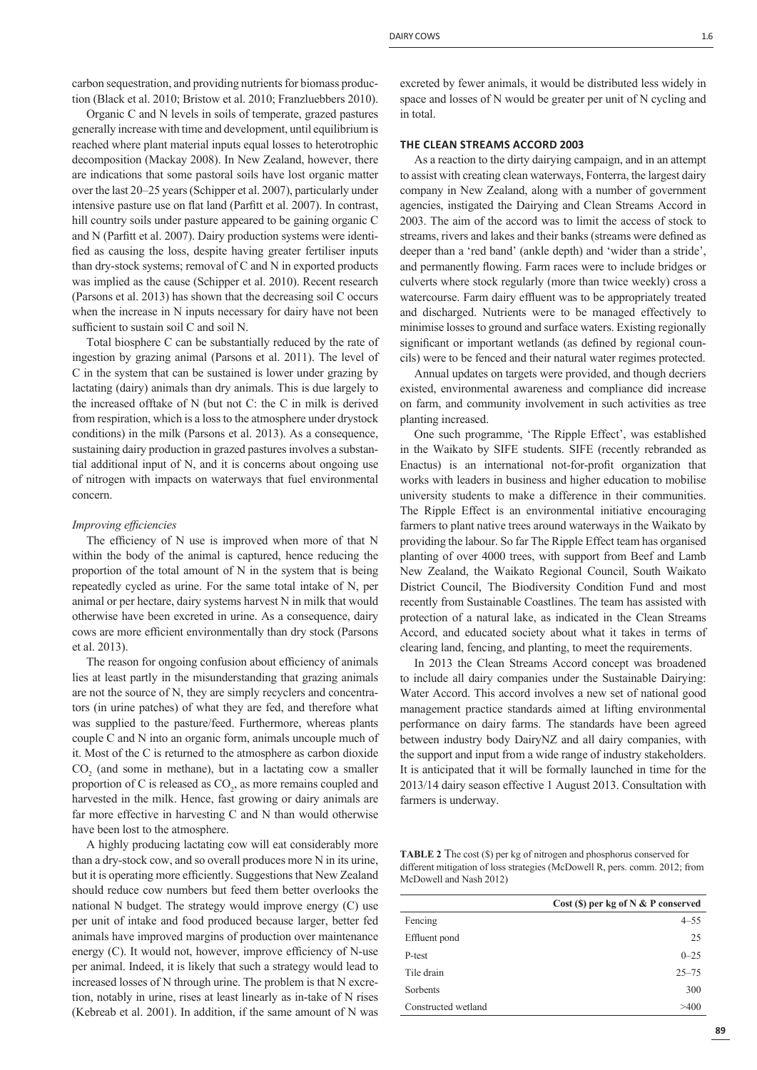carbon sequestration, and providing nutrients for biomass production (Black et al. 2010; Bristow et al. 2010; Franzluebbers 2010).

Organic C and N levels in soils of temperate, grazed pastures generally increase with time and development, until equilibrium is reached where plant material inputs equal losses to heterotrophic decomposition (Mackay 2008). In New Zealand, however, there are indications that some pastoral soils have lost organic matter over the last 20–25 years (Schipper et al. 2007), particularly under intensive pasture use on flat land (Parfitt et al. 2007). In contrast, hill country soils under pasture appeared to be gaining organic C and N (Parfitt et al. 2007). Dairy production systems were identified as causing the loss, despite having greater fertiliser inputs than dry-stock systems; removal of C and N in exported products was implied as the cause (Schipper et al. 2010). Recent research (Parsons et al. 2013) has shown that the decreasing soil C occurs when the increase in N inputs necessary for dairy have not been sufficient to sustain soil C and soil N.

Total biosphere C can be substantially reduced by the rate of ingestion by grazing animal (Parsons et al. 2011). The level of C in the system that can be sustained is lower under grazing by lactating (dairy) animals than dry animals. This is due largely to the increased offtake of N (but not C: the C in milk is derived from respiration, which is a loss to the atmosphere under drystock conditions) in the milk (Parsons et al. 2013). As a consequence, sustaining dairy production in grazed pastures involves a substantial additional input of N, and it is concerns about ongoing use of nitrogen with impacts on waterways that fuel environmental concern.

# *Improving efficiencies*

The efficiency of N use is improved when more of that N within the body of the animal is captured, hence reducing the proportion of the total amount of N in the system that is being repeatedly cycled as urine. For the same total intake of N, per animal or per hectare, dairy systems harvest N in milk that would otherwise have been excreted in urine. As a consequence, dairy cows are more efficient environmentally than dry stock (Parsons et al. 2013).

The reason for ongoing confusion about efficiency of animals lies at least partly in the misunderstanding that grazing animals are not the source of N, they are simply recyclers and concentrators (in urine patches) of what they are fed, and therefore what was supplied to the pasture/feed. Furthermore, whereas plants couple C and N into an organic form, animals uncouple much of it. Most of the C is returned to the atmosphere as carbon dioxide  $CO<sub>2</sub>$  (and some in methane), but in a lactating cow a smaller proportion of C is released as  $CO<sub>2</sub>$ , as more remains coupled and harvested in the milk. Hence, fast growing or dairy animals are far more effective in harvesting C and N than would otherwise have been lost to the atmosphere.

A highly producing lactating cow will eat considerably more than a dry-stock cow, and so overall produces more N in its urine, but it is operating more efficiently. Suggestions that New Zealand should reduce cow numbers but feed them better overlooks the national N budget. The strategy would improve energy (C) use per unit of intake and food produced because larger, better fed animals have improved margins of production over maintenance energy (C). It would not, however, improve efficiency of N-use per animal. Indeed, it is likely that such a strategy would lead to increased losses of N through urine. The problem is that N excretion, notably in urine, rises at least linearly as in-take of N rises (Kebreab et al. 2001). In addition, if the same amount of N was excreted by fewer animals, it would be distributed less widely in space and losses of N would be greater per unit of N cycling and in total.

### **THE CLEAN STREAMS ACCORD 2003**

As a reaction to the dirty dairying campaign, and in an attempt to assist with creating clean waterways, Fonterra, the largest dairy company in New Zealand, along with a number of government agencies, instigated the Dairying and Clean Streams Accord in 2003. The aim of the accord was to limit the access of stock to streams, rivers and lakes and their banks (streams were defined as deeper than a 'red band' (ankle depth) and 'wider than a stride', and permanently flowing. Farm races were to include bridges or culverts where stock regularly (more than twice weekly) cross a watercourse. Farm dairy effluent was to be appropriately treated and discharged. Nutrients were to be managed effectively to minimise losses to ground and surface waters. Existing regionally significant or important wetlands (as defined by regional councils) were to be fenced and their natural water regimes protected.

Annual updates on targets were provided, and though decriers existed, environmental awareness and compliance did increase on farm, and community involvement in such activities as tree planting increased.

One such programme, 'The Ripple Effect', was established in the Waikato by SIFE students. SIFE (recently rebranded as Enactus) is an international not-for-profit organization that works with leaders in business and higher education to mobilise university students to make a difference in their communities. The Ripple Effect is an environmental initiative encouraging farmers to plant native trees around waterways in the Waikato by providing the labour. So far The Ripple Effect team has organised planting of over 4000 trees, with support from Beef and Lamb New Zealand, the Waikato Regional Council, South Waikato District Council, The Biodiversity Condition Fund and most recently from Sustainable Coastlines. The team has assisted with protection of a natural lake, as indicated in the Clean Streams Accord, and educated society about what it takes in terms of clearing land, fencing, and planting, to meet the requirements.

In 2013 the Clean Streams Accord concept was broadened to include all dairy companies under the Sustainable Dairying: Water Accord. This accord involves a new set of national good management practice standards aimed at lifting environmental performance on dairy farms. The standards have been agreed between industry body DairyNZ and all dairy companies, with the support and input from a wide range of industry stakeholders. It is anticipated that it will be formally launched in time for the 2013/14 dairy season effective 1 August 2013. Consultation with farmers is underway.

**TABLE 2** The cost (\$) per kg of nitrogen and phosphorus conserved for different mitigation of loss strategies (McDowell R, pers. comm. 2012; from McDowell and Nash 2012)

|                     | Cost $(S)$ per kg of N & P conserved |
|---------------------|--------------------------------------|
| Fencing             | $4 - 55$                             |
| Effluent pond       | 25                                   |
| P-test              | $0 - 25$                             |
| Tile drain          | $25 - 75$                            |
| Sorbents            | 300                                  |
| Constructed wetland | >400                                 |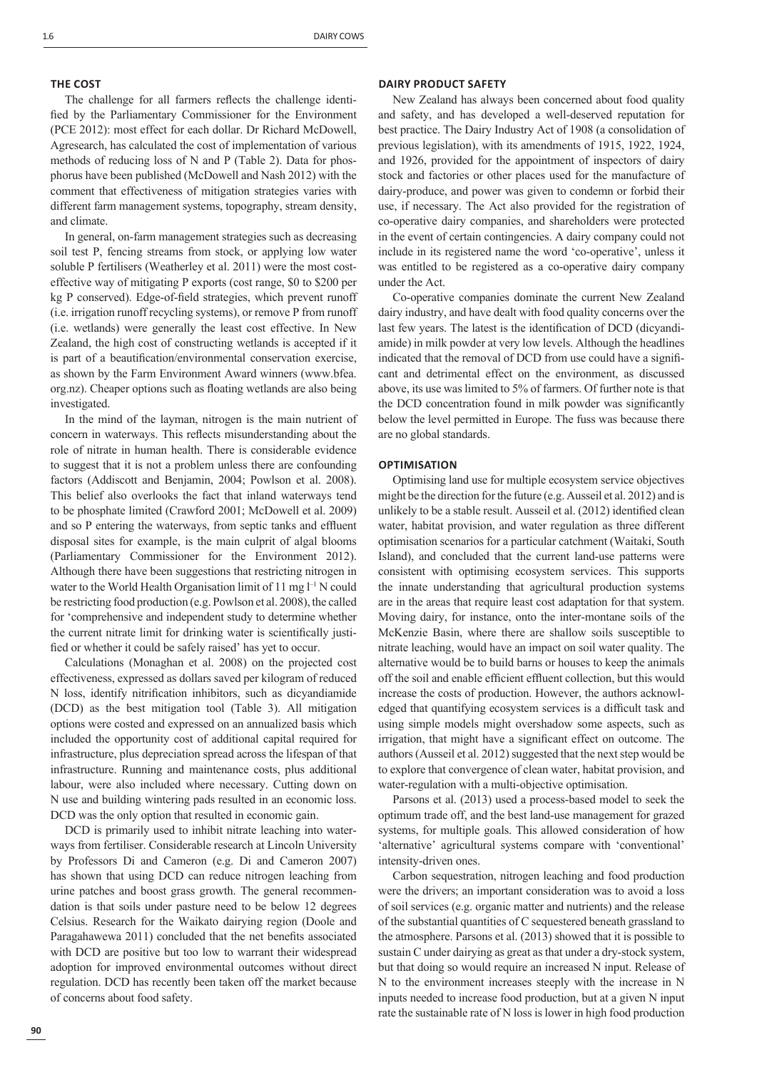#### **THE COST**

The challenge for all farmers reflects the challenge identified by the Parliamentary Commissioner for the Environment (PCE 2012): most effect for each dollar. Dr Richard McDowell, Agresearch, has calculated the cost of implementation of various methods of reducing loss of N and P (Table 2). Data for phosphorus have been published (McDowell and Nash 2012) with the comment that effectiveness of mitigation strategies varies with different farm management systems, topography, stream density, and climate.

In general, on-farm management strategies such as decreasing soil test P, fencing streams from stock, or applying low water soluble P fertilisers (Weatherley et al. 2011) were the most costeffective way of mitigating P exports (cost range, \$0 to \$200 per kg P conserved). Edge-of-field strategies, which prevent runoff (i.e. irrigation runoff recycling systems), or remove P from runoff (i.e. wetlands) were generally the least cost effective. In New Zealand, the high cost of constructing wetlands is accepted if it is part of a beautification/environmental conservation exercise, as shown by the Farm Environment Award winners (www.bfea. org.nz). Cheaper options such as floating wetlands are also being investigated.

In the mind of the layman, nitrogen is the main nutrient of concern in waterways. This reflects misunderstanding about the role of nitrate in human health. There is considerable evidence to suggest that it is not a problem unless there are confounding factors (Addiscott and Benjamin, 2004; Powlson et al. 2008). This belief also overlooks the fact that inland waterways tend to be phosphate limited (Crawford 2001; McDowell et al. 2009) and so P entering the waterways, from septic tanks and effluent disposal sites for example, is the main culprit of algal blooms (Parliamentary Commissioner for the Environment 2012). Although there have been suggestions that restricting nitrogen in water to the World Health Organisation limit of 11 mg  $l^{-1}$  N could be restricting food production (e.g. Powlson et al. 2008), the called for 'comprehensive and independent study to determine whether the current nitrate limit for drinking water is scientifically justified or whether it could be safely raised' has yet to occur.

Calculations (Monaghan et al. 2008) on the projected cost effectiveness, expressed as dollars saved per kilogram of reduced N loss, identify nitrification inhibitors, such as dicyandiamide (DCD) as the best mitigation tool (Table 3). All mitigation options were costed and expressed on an annualized basis which included the opportunity cost of additional capital required for infrastructure, plus depreciation spread across the lifespan of that infrastructure. Running and maintenance costs, plus additional labour, were also included where necessary. Cutting down on N use and building wintering pads resulted in an economic loss. DCD was the only option that resulted in economic gain.

DCD is primarily used to inhibit nitrate leaching into waterways from fertiliser. Considerable research at Lincoln University by Professors Di and Cameron (e.g. Di and Cameron 2007) has shown that using DCD can reduce nitrogen leaching from urine patches and boost grass growth. The general recommendation is that soils under pasture need to be below 12 degrees Celsius. Research for the Waikato dairying region (Doole and Paragahawewa 2011) concluded that the net benefits associated with DCD are positive but too low to warrant their widespread adoption for improved environmental outcomes without direct regulation. DCD has recently been taken off the market because of concerns about food safety.

#### **DAIRY PRODUCT SAFETY**

New Zealand has always been concerned about food quality and safety, and has developed a well-deserved reputation for best practice. The Dairy Industry Act of 1908 (a consolidation of previous legislation), with its amendments of 1915, 1922, 1924, and 1926, provided for the appointment of inspectors of dairy stock and factories or other places used for the manufacture of dairy-produce, and power was given to condemn or forbid their use, if necessary. The Act also provided for the registration of co-operative dairy companies, and shareholders were protected in the event of certain contingencies. A dairy company could not include in its registered name the word 'co-operative', unless it was entitled to be registered as a co-operative dairy company under the Act.

Co-operative companies dominate the current New Zealand dairy industry, and have dealt with food quality concerns over the last few years. The latest is the identification of DCD (dicyandiamide) in milk powder at very low levels. Although the headlines indicated that the removal of DCD from use could have a significant and detrimental effect on the environment, as discussed above, its use was limited to 5% of farmers. Of further note is that the DCD concentration found in milk powder was significantly below the level permitted in Europe. The fuss was because there are no global standards.

## **OPTIMISATION**

Optimising land use for multiple ecosystem service objectives might be the direction for the future (e.g. Ausseil et al. 2012) and is unlikely to be a stable result. Ausseil et al. (2012) identified clean water, habitat provision, and water regulation as three different optimisation scenarios for a particular catchment (Waitaki, South Island), and concluded that the current land-use patterns were consistent with optimising ecosystem services. This supports the innate understanding that agricultural production systems are in the areas that require least cost adaptation for that system. Moving dairy, for instance, onto the inter-montane soils of the McKenzie Basin, where there are shallow soils susceptible to nitrate leaching, would have an impact on soil water quality. The alternative would be to build barns or houses to keep the animals off the soil and enable efficient effluent collection, but this would increase the costs of production. However, the authors acknowledged that quantifying ecosystem services is a difficult task and using simple models might overshadow some aspects, such as irrigation, that might have a significant effect on outcome. The authors (Ausseil et al. 2012) suggested that the next step would be to explore that convergence of clean water, habitat provision, and water-regulation with a multi-objective optimisation.

Parsons et al. (2013) used a process-based model to seek the optimum trade off, and the best land-use management for grazed systems, for multiple goals. This allowed consideration of how 'alternative' agricultural systems compare with 'conventional' intensity-driven ones.

Carbon sequestration, nitrogen leaching and food production were the drivers; an important consideration was to avoid a loss of soil services (e.g. organic matter and nutrients) and the release of the substantial quantities of C sequestered beneath grassland to the atmosphere. Parsons et al. (2013) showed that it is possible to sustain C under dairying as great as that under a dry-stock system, but that doing so would require an increased N input. Release of N to the environment increases steeply with the increase in N inputs needed to increase food production, but at a given N input rate the sustainable rate of N loss is lower in high food production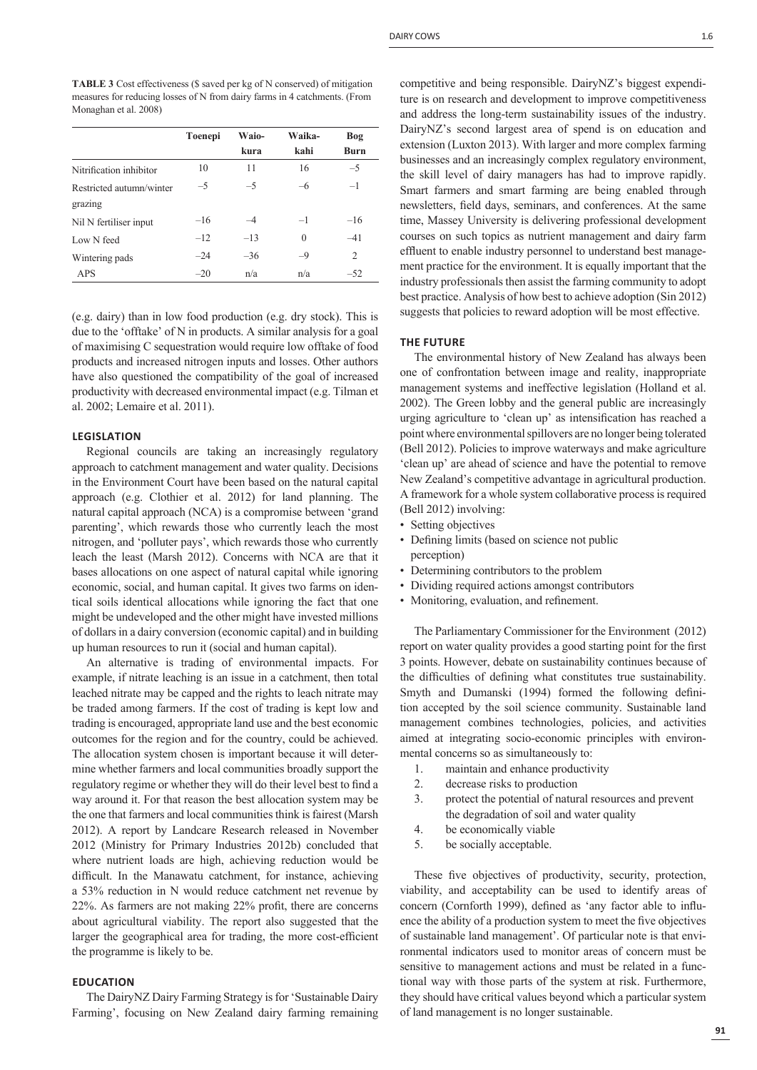**TABLE 3** Cost effectiveness (\$ saved per kg of N conserved) of mitigation measures for reducing losses of N from dairy farms in 4 catchments. (From Monaghan et al. 2008)

|       |       |          | Bog         |
|-------|-------|----------|-------------|
|       | kura  | kahi     | <b>Burn</b> |
| 10    | 11    | 16       | $-5$        |
| $-5$  | $-5$  | -6       | $-1$        |
| $-16$ | $-4$  | $-1$     | $-16$       |
| $-12$ | $-13$ | $\theta$ | $-41$       |
| $-24$ | $-36$ | $-9$     | 2           |
| $-20$ | n/a   | n/a      | $-52$       |
|       |       |          |             |

(e.g. dairy) than in low food production (e.g. dry stock). This is due to the 'offtake' of N in products. A similar analysis for a goal of maximising C sequestration would require low offtake of food products and increased nitrogen inputs and losses. Other authors have also questioned the compatibility of the goal of increased productivity with decreased environmental impact (e.g. Tilman et al. 2002; Lemaire et al. 2011).

# **LEGISLATION**

Regional councils are taking an increasingly regulatory approach to catchment management and water quality. Decisions in the Environment Court have been based on the natural capital approach (e.g. Clothier et al. 2012) for land planning. The natural capital approach (NCA) is a compromise between 'grand parenting', which rewards those who currently leach the most nitrogen, and 'polluter pays', which rewards those who currently leach the least (Marsh 2012). Concerns with NCA are that it bases allocations on one aspect of natural capital while ignoring economic, social, and human capital. It gives two farms on identical soils identical allocations while ignoring the fact that one might be undeveloped and the other might have invested millions of dollars in a dairy conversion (economic capital) and in building up human resources to run it (social and human capital).

An alternative is trading of environmental impacts. For example, if nitrate leaching is an issue in a catchment, then total leached nitrate may be capped and the rights to leach nitrate may be traded among farmers. If the cost of trading is kept low and trading is encouraged, appropriate land use and the best economic outcomes for the region and for the country, could be achieved. The allocation system chosen is important because it will determine whether farmers and local communities broadly support the regulatory regime or whether they will do their level best to find a way around it. For that reason the best allocation system may be the one that farmers and local communities think is fairest (Marsh 2012). A report by Landcare Research released in November 2012 (Ministry for Primary Industries 2012b) concluded that where nutrient loads are high, achieving reduction would be difficult. In the Manawatu catchment, for instance, achieving a 53% reduction in N would reduce catchment net revenue by  $22\%$ . As farmers are not making  $22\%$  profit, there are concerns about agricultural viability. The report also suggested that the larger the geographical area for trading, the more cost-efficient the programme is likely to be.

### **EDUCATION**

The DairyNZ Dairy Farming Strategy is for 'Sustainable Dairy Farming', focusing on New Zealand dairy farming remaining competitive and being responsible. DairyNZ's biggest expenditure is on research and development to improve competitiveness and address the long-term sustainability issues of the industry. DairyNZ's second largest area of spend is on education and extension (Luxton 2013). With larger and more complex farming businesses and an increasingly complex regulatory environment, the skill level of dairy managers has had to improve rapidly. Smart farmers and smart farming are being enabled through newsletters, field days, seminars, and conferences. At the same time, Massey University is delivering professional development courses on such topics as nutrient management and dairy farm effluent to enable industry personnel to understand best management practice for the environment. It is equally important that the industry professionals then assist the farming community to adopt best practice. Analysis of how best to achieve adoption (Sin 2012) suggests that policies to reward adoption will be most effective.

## **THE FUTURE**

The environmental history of New Zealand has always been one of confrontation between image and reality, inappropriate management systems and ineffective legislation (Holland et al. 2002). The Green lobby and the general public are increasingly urging agriculture to 'clean up' as intensification has reached a point where environmental spillovers are no longer being tolerated (Bell 2012). Policies to improve waterways and make agriculture 'clean up' are ahead of science and have the potential to remove New Zealand's competitive advantage in agricultural production. A framework for a whole system collaborative process is required (Bell 2012) involving:

- Setting objectives
- Defining limits (based on science not public perception)
- Determining contributors to the problem
- Dividing required actions amongst contributors
- Monitoring, evaluation, and refinement.

The Parliamentary Commissioner for the Environment (2012) report on water quality provides a good starting point for the first 3 points. However, debate on sustainability continues because of the difficulties of defining what constitutes true sustainability. Smyth and Dumanski (1994) formed the following definition accepted by the soil science community. Sustainable land management combines technologies, policies, and activities aimed at integrating socio-economic principles with environmental concerns so as simultaneously to:

- 1. maintain and enhance productivity
- 2. decrease risks to production
- 3. protect the potential of natural resources and prevent the degradation of soil and water quality
- 4. be economically viable
- 5. be socially acceptable.

These five objectives of productivity, security, protection, viability, and acceptability can be used to identify areas of concern (Cornforth 1999), defined as 'any factor able to influence the ability of a production system to meet the five objectives of sustainable land management'. Of particular note is that environmental indicators used to monitor areas of concern must be sensitive to management actions and must be related in a functional way with those parts of the system at risk. Furthermore, they should have critical values beyond which a particular system of land management is no longer sustainable.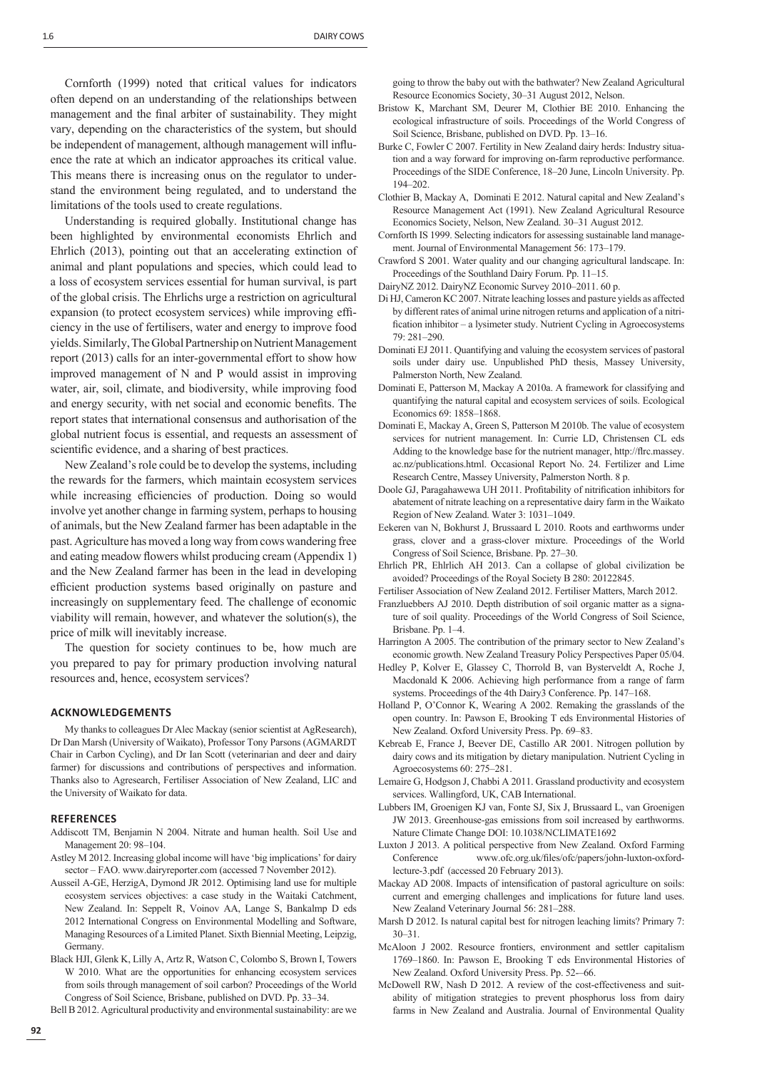Cornforth (1999) noted that critical values for indicators often depend on an understanding of the relationships between management and the final arbiter of sustainability. They might vary, depending on the characteristics of the system, but should be independent of management, although management will influence the rate at which an indicator approaches its critical value. This means there is increasing onus on the regulator to understand the environment being regulated, and to understand the limitations of the tools used to create regulations.

Understanding is required globally. Institutional change has been highlighted by environmental economists Ehrlich and Ehrlich (2013), pointing out that an accelerating extinction of animal and plant populations and species, which could lead to a loss of ecosystem services essential for human survival, is part of the global crisis. The Ehrlichs urge a restriction on agricultural expansion (to protect ecosystem services) while improving efficiency in the use of fertilisers, water and energy to improve food yields. Similarly, The Global Partnership on Nutrient Management report (2013) calls for an inter-governmental effort to show how improved management of N and P would assist in improving water, air, soil, climate, and biodiversity, while improving food and energy security, with net social and economic benefits. The report states that international consensus and authorisation of the global nutrient focus is essential, and requests an assessment of scientific evidence, and a sharing of best practices.

New Zealand's role could be to develop the systems, including the rewards for the farmers, which maintain ecosystem services while increasing efficiencies of production. Doing so would involve yet another change in farming system, perhaps to housing of animals, but the New Zealand farmer has been adaptable in the past. Agriculture has moved a long way from cows wandering free and eating meadow flowers whilst producing cream (Appendix 1) and the New Zealand farmer has been in the lead in developing efficient production systems based originally on pasture and increasingly on supplementary feed. The challenge of economic viability will remain, however, and whatever the solution(s), the price of milk will inevitably increase.

The question for society continues to be, how much are you prepared to pay for primary production involving natural resources and, hence, ecosystem services?

#### **ACKNOWLEDGEMENTS**

My thanks to colleagues Dr Alec Mackay (senior scientist at AgResearch), Dr Dan Marsh (University of Waikato), Professor Tony Parsons (AGMARDT Chair in Carbon Cycling), and Dr Ian Scott (veterinarian and deer and dairy farmer) for discussions and contributions of perspectives and information. Thanks also to Agresearch, Fertiliser Association of New Zealand, LIC and the University of Waikato for data.

#### **REFERENCES**

- Addiscott TM, Benjamin N 2004. Nitrate and human health. Soil Use and Management 20: 98–104.
- Astley M 2012. Increasing global income will have 'big implications' for dairy sector – FAO. www.dairyreporter.com (accessed 7 November 2012).
- Ausseil A-GE, HerzigA, Dymond JR 2012. Optimising land use for multiple ecosystem services objectives: a case study in the Waitaki Catchment, New Zealand. In: Seppelt R, Voinov AA, Lange S, Bankalmp D eds 2012 International Congress on Environmental Modelling and Software, Managing Resources of a Limited Planet. Sixth Biennial Meeting, Leipzig, Germany.
- Black HJI, Glenk K, Lilly A, Artz R, Watson C, Colombo S, Brown I, Towers W 2010. What are the opportunities for enhancing ecosystem services from soils through management of soil carbon? Proceedings of the World Congress of Soil Science, Brisbane, published on DVD. Pp. 33–34.

Bell B 2012. Agricultural productivity and environmental sustainability: are we

going to throw the baby out with the bathwater? New Zealand Agricultural Resource Economics Society, 30–31 August 2012, Nelson.

- Bristow K, Marchant SM, Deurer M, Clothier BE 2010. Enhancing the ecological infrastructure of soils. Proceedings of the World Congress of Soil Science, Brisbane, published on DVD. Pp. 13–16.
- Burke C, Fowler C 2007. Fertility in New Zealand dairy herds: Industry situation and a way forward for improving on-farm reproductive performance. Proceedings of the SIDE Conference, 18–20 June, Lincoln University. Pp. 194–202.
- Clothier B, Mackay A, Dominati E 2012. Natural capital and New Zealand's Resource Management Act (1991). New Zealand Agricultural Resource Economics Society, Nelson, New Zealand. 30–31 August 2012.
- Cornforth IS 1999. Selecting indicators for assessing sustainable land management. Journal of Environmental Management 56: 173–179.
- Crawford S 2001. Water quality and our changing agricultural landscape. In: Proceedings of the Southland Dairy Forum. Pp. 11–15.
- DairyNZ 2012. DairyNZ Economic Survey 2010–2011. 60 p.
- Di HJ, Cameron KC 2007. Nitrate leaching losses and pasture yields as affected by different rates of animal urine nitrogen returns and application of a nitrification inhibitor – a lysimeter study. Nutrient Cycling in Agroecosystems 79: 281–290.
- Dominati EJ 2011. Quantifying and valuing the ecosystem services of pastoral soils under dairy use. Unpublished PhD thesis, Massey University, Palmerston North, New Zealand.
- Dominati E, Patterson M, Mackay A 2010a. A framework for classifying and quantifying the natural capital and ecosystem services of soils. Ecological Economics 69: 1858–1868.
- Dominati E, Mackay A, Green S, Patterson M 2010b. The value of ecosystem services for nutrient management. In: Currie LD, Christensen CL eds Adding to the knowledge base for the nutrient manager, http://flrc.massey. ac.nz/publications.html. Occasional Report No. 24. Fertilizer and Lime Research Centre, Massey University, Palmerston North. 8 p.
- Doole GJ, Paragahawewa UH 2011. Profitability of nitrification inhibitors for abatement of nitrate leaching on a representative dairy farm in the Waikato Region of New Zealand. Water 3: 1031–1049.
- Eekeren van N, Bokhurst J, Brussaard L 2010. Roots and earthworms under grass, clover and a grass-clover mixture. Proceedings of the World Congress of Soil Science, Brisbane. Pp. 27–30.
- Ehrlich PR, Ehlrlich AH 2013. Can a collapse of global civilization be avoided? Proceedings of the Royal Society B 280: 20122845.
- Fertiliser Association of New Zealand 2012. Fertiliser Matters, March 2012.
- Franzluebbers AJ 2010. Depth distribution of soil organic matter as a signature of soil quality. Proceedings of the World Congress of Soil Science, Brisbane. Pp. 1–4.
- Harrington A 2005. The contribution of the primary sector to New Zealand's economic growth. New Zealand Treasury Policy Perspectives Paper 05/04.
- Hedley P, Kolver E, Glassey C, Thorrold B, van Bysterveldt A, Roche J, Macdonald K 2006. Achieving high performance from a range of farm systems. Proceedings of the 4th Dairy3 Conference. Pp. 147–168.
- Holland P, O'Connor K, Wearing A 2002. Remaking the grasslands of the open country. In: Pawson E, Brooking T eds Environmental Histories of New Zealand. Oxford University Press. Pp. 69–83.
- Kebreab E, France J, Beever DE, Castillo AR 2001. Nitrogen pollution by dairy cows and its mitigation by dietary manipulation. Nutrient Cycling in Agroecosystems 60: 275–281.
- Lemaire G, Hodgson J, Chabbi A 2011. Grassland productivity and ecosystem services. Wallingford, UK, CAB International.
- Lubbers IM, Groenigen KJ van, Fonte SJ, Six J, Brussaard L, van Groenigen JW 2013. Greenhouse-gas emissions from soil increased by earthworms. Nature Climate Change DOI: 10.1038/NCLIMATE1692
- Luxton J 2013. A political perspective from New Zealand. Oxford Farming Conference www.ofc.org.uk/files/ofc/papers/john-luxton-oxfordlecture-3.pdf (accessed 20 February 2013).
- Mackay AD 2008. Impacts of intensification of pastoral agriculture on soils: current and emerging challenges and implications for future land uses. New Zealand Veterinary Journal 56: 281–288.
- Marsh D 2012. Is natural capital best for nitrogen leaching limits? Primary 7: 30–31.
- McAloon J 2002. Resource frontiers, environment and settler capitalism 1769–1860. In: Pawson E, Brooking T eds Environmental Histories of New Zealand. Oxford University Press. Pp. 52-–66.
- McDowell RW, Nash D 2012. A review of the cost-effectiveness and suitability of mitigation strategies to prevent phosphorus loss from dairy farms in New Zealand and Australia. Journal of Environmental Quality